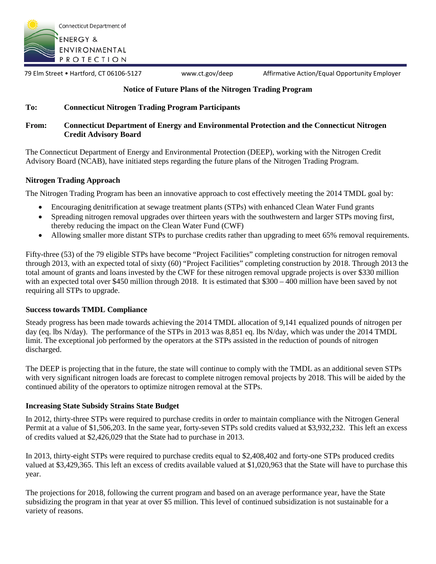

79 Elm Street • Hartford, CT 06106-5127 www.ct.gov/deep Affirmative Action/Equal Opportunity Employer

## **Notice of Future Plans of the Nitrogen Trading Program**

### **To: Connecticut Nitrogen Trading Program Participants**

#### **From: Connecticut Department of Energy and Environmental Protection and the Connecticut Nitrogen Credit Advisory Board**

The Connecticut Department of Energy and Environmental Protection (DEEP), working with the Nitrogen Credit Advisory Board (NCAB), have initiated steps regarding the future plans of the Nitrogen Trading Program.

#### **Nitrogen Trading Approach**

The Nitrogen Trading Program has been an innovative approach to cost effectively meeting the 2014 TMDL goal by:

- Encouraging denitrification at sewage treatment plants (STPs) with enhanced Clean Water Fund grants
- Spreading nitrogen removal upgrades over thirteen years with the southwestern and larger STPs moving first, thereby reducing the impact on the Clean Water Fund (CWF)
- Allowing smaller more distant STPs to purchase credits rather than upgrading to meet 65% removal requirements.

Fifty-three (53) of the 79 eligible STPs have become "Project Facilities" completing construction for nitrogen removal through 2013, with an expected total of sixty (60) "Project Facilities" completing construction by 2018. Through 2013 the total amount of grants and loans invested by the CWF for these nitrogen removal upgrade projects is over \$330 million with an expected total over \$450 million through 2018. It is estimated that \$300 – 400 million have been saved by not requiring all STPs to upgrade.

### **Success towards TMDL Compliance**

Steady progress has been made towards achieving the 2014 TMDL allocation of 9,141 equalized pounds of nitrogen per day (eq. lbs N/day). The performance of the STPs in 2013 was 8,851 eq. lbs N/day, which was under the 2014 TMDL limit. The exceptional job performed by the operators at the STPs assisted in the reduction of pounds of nitrogen discharged.

The DEEP is projecting that in the future, the state will continue to comply with the TMDL as an additional seven STPs with very significant nitrogen loads are forecast to complete nitrogen removal projects by 2018. This will be aided by the continued ability of the operators to optimize nitrogen removal at the STPs.

#### **Increasing State Subsidy Strains State Budget**

In 2012, thirty-three STPs were required to purchase credits in order to maintain compliance with the Nitrogen General Permit at a value of \$1,506,203. In the same year, forty-seven STPs sold credits valued at \$3,932,232. This left an excess of credits valued at \$2,426,029 that the State had to purchase in 2013.

In 2013, thirty-eight STPs were required to purchase credits equal to \$2,408,402 and forty-one STPs produced credits valued at \$3,429,365. This left an excess of credits available valued at \$1,020,963 that the State will have to purchase this year.

The projections for 2018, following the current program and based on an average performance year, have the State subsidizing the program in that year at over \$5 million. This level of continued subsidization is not sustainable for a variety of reasons.